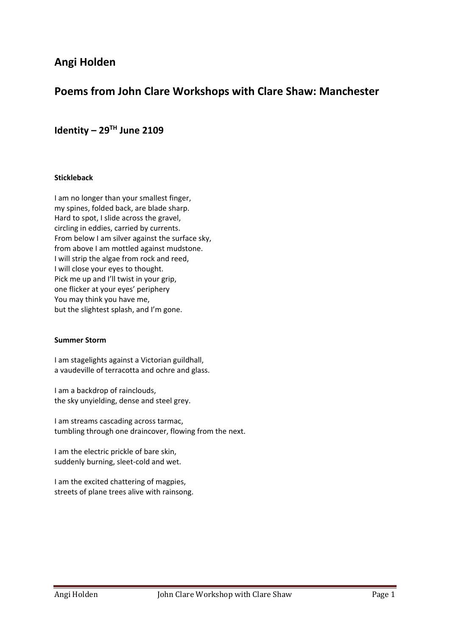# **Angi Holden**

# **Poems from John Clare Workshops with Clare Shaw: Manchester**

# **Identity – 29TH June 2109**

### **Stickleback**

I am no longer than your smallest finger, my spines, folded back, are blade sharp. Hard to spot, I slide across the gravel, circling in eddies, carried by currents. From below I am silver against the surface sky, from above I am mottled against mudstone. I will strip the algae from rock and reed, I will close your eyes to thought. Pick me up and I'll twist in your grip, one flicker at your eyes' periphery You may think you have me, but the slightest splash, and I'm gone.

#### **Summer Storm**

I am stagelights against a Victorian guildhall, a vaudeville of terracotta and ochre and glass.

I am a backdrop of rainclouds, the sky unyielding, dense and steel grey.

I am streams cascading across tarmac, tumbling through one draincover, flowing from the next.

I am the electric prickle of bare skin, suddenly burning, sleet-cold and wet.

I am the excited chattering of magpies, streets of plane trees alive with rainsong.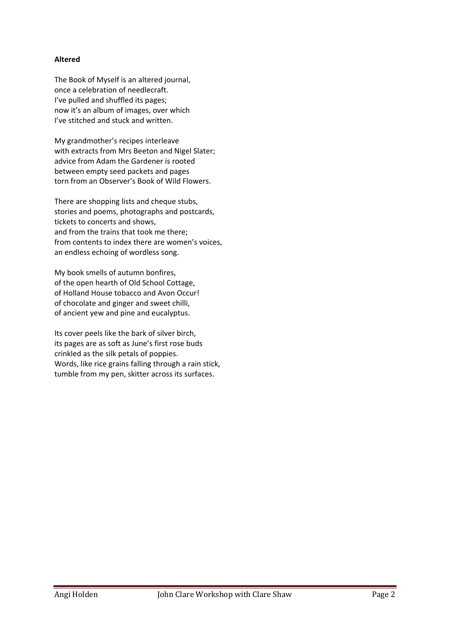## **Altered**

The Book of Myself is an altered journal, once a celebration of needlecraft. I've pulled and shuffled its pages; now it's an album of images, over which I've stitched and stuck and written.

My grandmother's recipes interleave with extracts from Mrs Beeton and Nigel Slater; advice from Adam the Gardener is rooted between empty seed packets and pages torn from an Observer's Book of Wild Flowers.

There are shopping lists and cheque stubs, stories and poems, photographs and postcards, tickets to concerts and shows, and from the trains that took me there; from contents to index there are women's voices, an endless echoing of wordless song.

My book smells of autumn bonfires, of the open hearth of Old School Cottage, of Holland House tobacco and Avon Occur! of chocolate and ginger and sweet chilli, of ancient yew and pine and eucalyptus.

Its cover peels like the bark of silver birch, its pages are as soft as June's first rose buds crinkled as the silk petals of poppies. Words, like rice grains falling through a rain stick, tumble from my pen, skitter across its surfaces.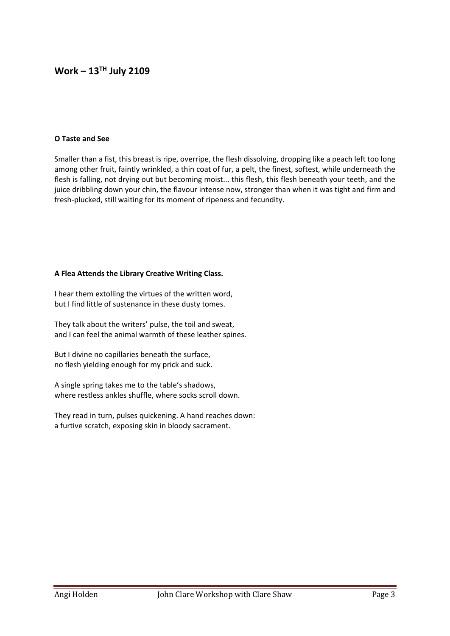## **Work – 13TH July 2109**

#### **O Taste and See**

Smaller than a fist, this breast is ripe, overripe, the flesh dissolving, dropping like a peach left too long among other fruit, faintly wrinkled, a thin coat of fur, a pelt, the finest, softest, while underneath the flesh is falling, not drying out but becoming moist... this flesh, this flesh beneath your teeth, and the juice dribbling down your chin, the flavour intense now, stronger than when it was tight and firm and fresh‐plucked, still waiting for its moment of ripeness and fecundity.

#### **A Flea Attends the Library Creative Writing Class.**

I hear them extolling the virtues of the written word, but I find little of sustenance in these dusty tomes.

They talk about the writers' pulse, the toil and sweat, and I can feel the animal warmth of these leather spines.

But I divine no capillaries beneath the surface, no flesh yielding enough for my prick and suck.

A single spring takes me to the table's shadows, where restless ankles shuffle, where socks scroll down.

They read in turn, pulses quickening. A hand reaches down: a furtive scratch, exposing skin in bloody sacrament.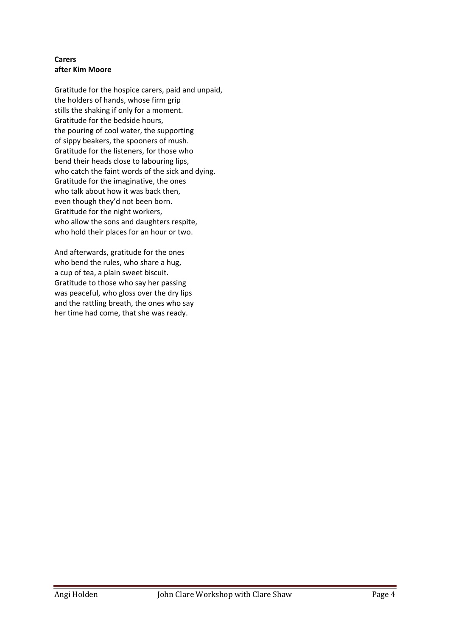## **Carers after Kim Moore**

Gratitude for the hospice carers, paid and unpaid, the holders of hands, whose firm grip stills the shaking if only for a moment. Gratitude for the bedside hours, the pouring of cool water, the supporting of sippy beakers, the spooners of mush. Gratitude for the listeners, for those who bend their heads close to labouring lips, who catch the faint words of the sick and dying. Gratitude for the imaginative, the ones who talk about how it was back then, even though they'd not been born. Gratitude for the night workers, who allow the sons and daughters respite, who hold their places for an hour or two.

And afterwards, gratitude for the ones who bend the rules, who share a hug, a cup of tea, a plain sweet biscuit. Gratitude to those who say her passing was peaceful, who gloss over the dry lips and the rattling breath, the ones who say her time had come, that she was ready.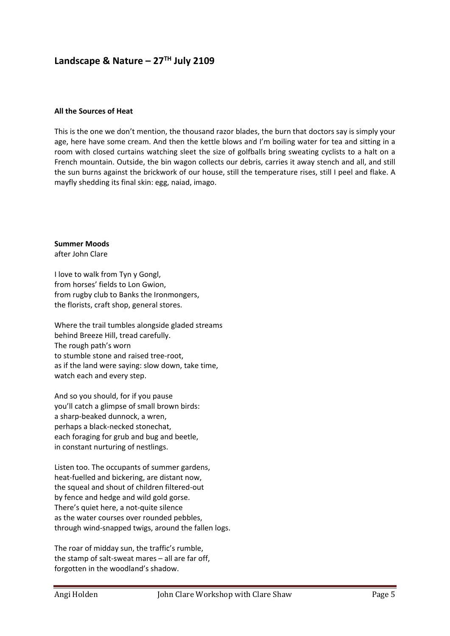# Landscape & Nature - 27<sup>TH</sup> July 2109

#### **All the Sources of Heat**

This is the one we don't mention, the thousand razor blades, the burn that doctors say is simply your age, here have some cream. And then the kettle blows and I'm boiling water for tea and sitting in a room with closed curtains watching sleet the size of golfballs bring sweating cyclists to a halt on a French mountain. Outside, the bin wagon collects our debris, carries it away stench and all, and still the sun burns against the brickwork of our house, still the temperature rises, still I peel and flake. A mayfly shedding its final skin: egg, naiad, imago.

**Summer Moods** 

after John Clare

I love to walk from Tyn y Gongl, from horses' fields to Lon Gwion, from rugby club to Banks the Ironmongers, the florists, craft shop, general stores.

Where the trail tumbles alongside gladed streams behind Breeze Hill, tread carefully. The rough path's worn to stumble stone and raised tree‐root, as if the land were saying: slow down, take time, watch each and every step.

And so you should, for if you pause you'll catch a glimpse of small brown birds: a sharp‐beaked dunnock, a wren, perhaps a black‐necked stonechat, each foraging for grub and bug and beetle, in constant nurturing of nestlings.

Listen too. The occupants of summer gardens, heat-fuelled and bickering, are distant now, the squeal and shout of children filtered‐out by fence and hedge and wild gold gorse. There's quiet here, a not‐quite silence as the water courses over rounded pebbles, through wind‐snapped twigs, around the fallen logs.

The roar of midday sun, the traffic's rumble, the stamp of salt‐sweat mares – all are far off, forgotten in the woodland's shadow.